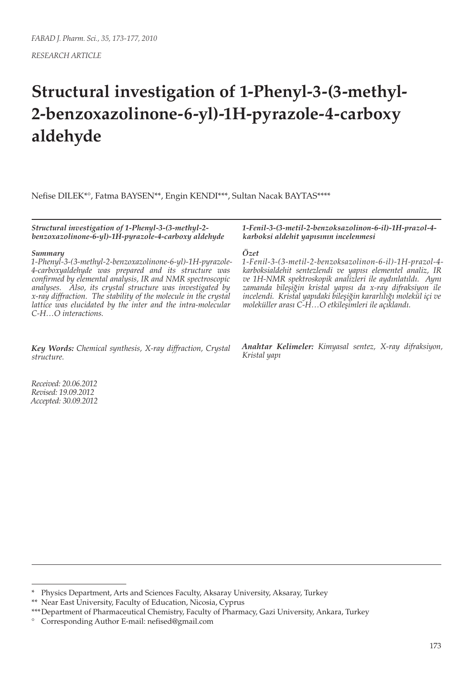# **Structural investigation of 1-Phenyl-3-(3-methyl-2-benzoxazolinone-6-yl)-1H-pyrazole-4-carboxy aldehyde**

Nefise DILEK\*°, Fatma BAYSEN\*\*, Engin KENDI\*\*\*, Sultan Nacak BAYTAS\*\*\*\*

*Structural investigation of 1-Phenyl-3-(3-methyl-2 benzoxazolinone-6-yl)-1H-pyrazole-4-carboxy aldehyde*

#### *Summary*

*1-Phenyl-3-(3-methyl-2-benzoxazolinone-6-yl)-1H-pyrazole-4-carboxyaldehyde was prepared and its structure was confirmed by elemental analysis, IR and NMR spectroscopic analyses. Also, its crystal structure was investigated by x-ray diffraction. The stability of the molecule in the crystal lattice was elucidated by the inter and the intra-molecular C-H…O interactions.*

*Key Words: Chemical synthesis, X-ray diffraction, Crystal structure.*

*Received: 20.06.2012 Revised: 19.09.2012 Accepted: 30.09.2012* *1-Fenil-3-(3-metil-2-benzoksazolinon-6-il)-1H-prazol-4 karboksi aldehit yapısının incelenmesi*

#### *Özet*

*1-Fenil-3-(3-metil-2-benzoksazolinon-6-il)-1H-prazol-4 karboksialdehit sentezlendi ve yapısı elementel analiz, IR ve 1H-NMR spektroskopik analizleri ile aydınlatıldı. Aynı zamanda bileşiğin kristal yapısı da x-ray difraksiyon ile incelendi. Kristal yapıdaki bileşiğin kararlılığı molekül içi ve moleküller arası C-H…O etkileşimleri ile açıklandı.*

*Anahtar Kelimeler: Kimyasal sentez, X-ray difraksiyon, Kristal yapı*

<sup>\*</sup> Physics Department, Arts and Sciences Faculty, Aksaray University, Aksaray, Turkey

<sup>\*\*</sup> Near East University, Faculty of Education, Nicosia, Cyprus

<sup>\*\*\*</sup>Department of Pharmaceutical Chemistry, Faculty of Pharmacy, Gazi University, Ankara, Turkey

<sup>°</sup> Corresponding Author E-mail: nefised@gmail.com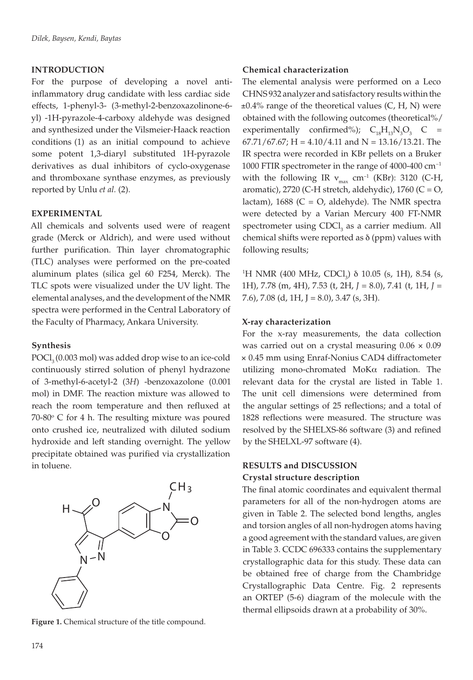## **INTRODUCTION**

For the purpose of developing a novel antiinflammatory drug candidate with less cardiac side effects, 1-phenyl-3- (3-methyl-2-benzoxazolinone-6 yl) -1H-pyrazole-4-carboxy aldehyde was designed and synthesized under the Vilsmeier-Haack reaction conditions (1) as an initial compound to achieve some potent 1,3-diaryl substituted 1H-pyrazole derivatives as dual inhibitors of cyclo-oxygenase and thromboxane synthase enzymes, as previously reported by Unlu *et al.* (2).

## **EXPERIMENTAL**

All chemicals and solvents used were of reagent grade (Merck or Aldrich), and were used without further purification. Thin layer chromatographic (TLC) analyses were performed on the pre-coated aluminum plates (silica gel 60 F254, Merck). The TLC spots were visualized under the UV light. The elemental analyses, and the development of the NMR spectra were performed in the Central Laboratory of the Faculty of Pharmacy, Ankara University.

#### **Synthesis**

 $POCl<sub>3</sub>(0.003 mol)$  was added drop wise to an ice-cold continuously stirred solution of phenyl hydrazone of 3-methyl-6-acetyl-2 (3*H*) -benzoxazolone (0.001 mol) in DMF. The reaction mixture was allowed to reach the room temperature and then refluxed at  $70-80^\circ$  C for 4 h. The resulting mixture was poured onto crushed ice, neutralized with diluted sodium hydroxide and left standing overnight. The yellow precipitate obtained was purified via crystallization in toluene.



**Figure 1.** Chemical structure of the title compound.

#### **Chemical characterization**

The elemental analysis were performed on a Leco CHNS 932 analyzer and satisfactory results within the  $\pm 0.4\%$  range of the theoretical values (C, H, N) were obtained with the following outcomes (theoretical%/ experimentally confirmed%);  $C_{18}H_{13}N_3O_3$  C =  $67.71/67.67$ ; H = 4.10/4.11 and N = 13.16/13.21. The IR spectra were recorded in KBr pellets on a Bruker 1000 FTIR spectrometer in the range of 4000-400 cm*<sup>−</sup>*<sup>1</sup> with the following IR  $v_{max}$  cm<sup>-1</sup> (KBr): 3120 (C-H, aromatic), 2720 (C-H stretch, aldehydic), 1760 (C =  $O$ , lactam),  $1688$  (C = O, aldehyde). The NMR spectra were detected by a Varian Mercury 400 FT-NMR spectrometer using CDCl<sub>3</sub> as a carrier medium. All chemical shifts were reported as  $\delta$  (ppm) values with following results;

<sup>1</sup>H NMR (400 MHz, CDCl<sub>3</sub>)  $\delta$  10.05 (s, 1H), 8.54 (s, 1H), 7.78 (m, 4H), 7.53 (t, 2H, *J* = 8.0), 7.41 (t, 1H, *J* = 7.6), 7.08 (d, 1H, J = 8.0), 3.47 (s, 3H).

## **X-ray characterization**

For the x-ray measurements, the data collection was carried out on a crystal measuring  $0.06 \times 0.09$ × 0.45 mm using Enraf-Nonius CAD4 diffractometer utilizing mono-chromated MoKa radiation. The relevant data for the crystal are listed in Table 1. The unit cell dimensions were determined from the angular settings of 25 reflections; and a total of 1828 reflections were measured. The structure was resolved by the SHELXS-86 software (3) and refined by the SHELXL-97 software (4).

# **RESULTS and DISCUSSION Crystal structure description**

The final atomic coordinates and equivalent thermal parameters for all of the non-hydrogen atoms are given in Table 2. The selected bond lengths, angles and torsion angles of all non-hydrogen atoms having a good agreement with the standard values, are given in Table 3. CCDC 696333 contains the supplementary crystallographic data for this study. These data can be obtained free of charge from the Chambridge Crystallographic Data Centre. Fig. 2 represents an ORTEP (5-6) diagram of the molecule with the thermal ellipsoids drawn at a probability of 30%.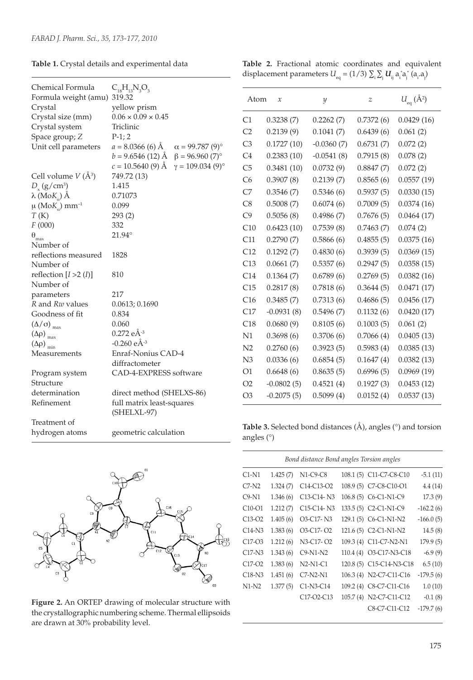|  |  | Table 1. Crystal details and experimental data |  |
|--|--|------------------------------------------------|--|
|  |  |                                                |  |

**Table 2.** Fractional atomic coordinates and equivalent displacement parameters  $U_{\text{eq}}$  = (1/3)  $\sum_{\text{i}}\sum_{\text{j}}U_{\text{ij}}$   $\text{a}_{\text{i}}^{\text{*}}\text{a}_{\text{j}}^{\text{*}}$  (a<sub>i</sub>.a<sub>j</sub>)

| Chemical Formula<br>Formula weight (amu) 319.32<br>Crystal<br>Crystal size (mm)<br>Crystal system<br>Space group; Z<br>Unit cell parameters | $C_{18}H_{13}N_3O_3$<br>yellow prism<br>$0.06\times0.09\times0.45$<br>Triclinic<br>$P-1; 2$<br>$a = 8.0366(6)$ Å<br>$b = 9.6546$ (12) Å $\beta = 96.960$ (7) <sup>o</sup> | $\alpha = 99.787(9)$ °  |
|---------------------------------------------------------------------------------------------------------------------------------------------|---------------------------------------------------------------------------------------------------------------------------------------------------------------------------|-------------------------|
|                                                                                                                                             | $c = 10.5640(9)$ Å                                                                                                                                                        | $\gamma = 109.034(9)$ ° |
| Cell volume $V(\AA^3)$                                                                                                                      | 749.72 (13)                                                                                                                                                               |                         |
| $D_{y}$ (g/cm <sup>3</sup> )                                                                                                                | 1.415                                                                                                                                                                     |                         |
| $\lambda$ (Mo $K_{\alpha}$ ) Å                                                                                                              | 0.71073                                                                                                                                                                   |                         |
| $\mu$ (Mo $K_{\alpha}$ ) mm <sup>-1</sup>                                                                                                   | 0.099                                                                                                                                                                     |                         |
| T(K)                                                                                                                                        | 293(2)                                                                                                                                                                    |                         |
| F(000)                                                                                                                                      | 332                                                                                                                                                                       |                         |
| $\theta_{\text{max}}$                                                                                                                       | 21.94°                                                                                                                                                                    |                         |
| Number of                                                                                                                                   |                                                                                                                                                                           |                         |
| reflections measured                                                                                                                        | 1828                                                                                                                                                                      |                         |
| Number of                                                                                                                                   |                                                                                                                                                                           |                         |
| reflection $[I >2 (I)]$                                                                                                                     | 810                                                                                                                                                                       |                         |
| Number of                                                                                                                                   |                                                                                                                                                                           |                         |
| parameters                                                                                                                                  | 217                                                                                                                                                                       |                         |
| R and Rw values                                                                                                                             | 0.0613; 0.1690                                                                                                                                                            |                         |
| Goodness of fit                                                                                                                             | 0.834                                                                                                                                                                     |                         |
| $(\Delta/\sigma)$ <sub>max</sub>                                                                                                            | 0.060                                                                                                                                                                     |                         |
| $(\Delta \rho)$ <sub>max</sub>                                                                                                              | $0.272$ eÅ <sup>-3</sup>                                                                                                                                                  |                         |
| $(\Delta \rho)$ <sub>min</sub>                                                                                                              | $-0.260$ eÅ <sup>-3</sup>                                                                                                                                                 |                         |
| Measurements                                                                                                                                | Enraf-Nonius CAD-4                                                                                                                                                        |                         |
|                                                                                                                                             | diffractometer                                                                                                                                                            |                         |
| Program system                                                                                                                              | CAD-4-EXPRESS software                                                                                                                                                    |                         |
| Structure                                                                                                                                   |                                                                                                                                                                           |                         |
| determination                                                                                                                               | direct method (SHELXS-86)                                                                                                                                                 |                         |
| Refinement                                                                                                                                  | full matrix least-squares                                                                                                                                                 |                         |
|                                                                                                                                             | (SHELXL-97)                                                                                                                                                               |                         |
| Treatment of                                                                                                                                |                                                                                                                                                                           |                         |
| hydrogen atoms                                                                                                                              | geometric calculation                                                                                                                                                     |                         |



**Figure 2.** An ORTEP drawing of molecular structure with the crystallographic numbering scheme. Thermal ellipsoids are drawn at 30% probability level.

| Atom           | $\mathcal{X}$ | y            | z         | $U_{\text{eq}}(\AA^2)$ |
|----------------|---------------|--------------|-----------|------------------------|
| C1             | 0.3238(7)     | 0.2262(7)    | 0.7372(6) | 0.0429(16)             |
| C <sub>2</sub> | 0.2139(9)     | 0.1041(7)    | 0.6439(6) | 0.061(2)               |
| C <sub>3</sub> | 0.1727(10)    | $-0.0360(7)$ | 0.6731(7) | 0.072(2)               |
| C <sub>4</sub> | 0.2383(10)    | $-0.0541(8)$ | 0.7915(8) | 0.078(2)               |
| C <sub>5</sub> | 0.3481(10)    | 0.0732(9)    | 0.8847(7) | 0.072(2)               |
| C <sub>6</sub> | 0.3907(8)     | 0.2139(7)    | 0.8565(6) | 0.0557(19)             |
| C7             | 0.3546(7)     | 0.5346(6)    | 0.5937(5) | 0.0330(15)             |
| C8             | 0.5008(7)     | 0.6074(6)    | 0.7009(5) | 0.0374(16)             |
| C9             | 0.5056(8)     | 0.4986 (7)   | 0.7676(5) | 0.0464(17)             |
| C10            | 0.6423(10)    | 0.7539(8)    | 0.7463(7) | 0.074(2)               |
| C11            | 0.2790(7)     | 0.5866(6)    | 0.4855(5) | 0.0375(16)             |
| C12            | 0.1292(7)     | 0.4830(6)    | 0.3939(5) | 0.0369(15)             |
| C13            | 0.0661(7)     | 0.5357(6)    | 0.2947(5) | 0.0358(15)             |
| C14            | 0.1364(7)     | 0.6789(6)    | 0.2769(5) | 0.0382(16)             |
| C15            | 0.2817(8)     | 0.7818(6)    | 0.3644(5) | 0.0471(17)             |
| C16            | 0.3485(7)     | 0.7313(6)    | 0.4686(5) | 0.0456(17)             |
| C17            | $-0.0931(8)$  | 0.5496(7)    | 0.1132(6) | 0.0420(17)             |
| C18            | 0.0680(9)     | 0.8105(6)    | 0.1003(5) | 0.061(2)               |
| N1             | 0.3698(6)     | 0.3706(6)    | 0.7066(4) | 0.0405(13)             |
| N <sub>2</sub> | 0.2760(6)     | 0.3923(5)    | 0.5983(4) | 0.0385(13)             |
| N <sub>3</sub> | 0.0336(6)     | 0.6854(5)    | 0.1647(4) | 0.0382(13)             |
| O <sub>1</sub> | 0.6648(6)     | 0.8635(5)    | 0.6996(5) | 0.0969(19)             |
| O <sub>2</sub> | $-0.0802(5)$  | 0.4521(4)    | 0.1927(3) | 0.0453(12)             |
| O <sub>3</sub> | $-0.2075(5)$  | 0.5099(4)    | 0.0152(4) | 0.0537(13)             |

**Table 3.** Selected bond distances (Å), angles (°) and torsion angles (°)

| Bond distance Bond angles Torsion angles |          |                                                  |  |                          |             |
|------------------------------------------|----------|--------------------------------------------------|--|--------------------------|-------------|
| $C1-N1$                                  | 1.425(7) | N1-C9-C8                                         |  | 108.1 (5) C11-C7-C8-C10  | $-5.1(11)$  |
| $C7-N2$                                  | 1.324(7) | C <sub>14</sub> -C <sub>13</sub> -O <sub>2</sub> |  | 108.9 (5) C7-C8-C10-O1   | 4.4(14)     |
| $C9-N1$                                  | 1.346(6) | C13-C14-N3                                       |  | 106.8 (5) C6-C1-N1-C9    | 17.3(9)     |
| $C10-O1$                                 | 1.212(7) | C <sub>15</sub> -C <sub>14</sub> -N <sub>3</sub> |  | 133.5 (5) C2-C1-N1-C9    | $-162.2(6)$ |
| $C13-O2$                                 | 1.405(6) | O3-C17-N3                                        |  | 129.1 (5) C6-C1-N1-N2    | $-166.0(5)$ |
| $C14-N3$                                 | 1.383(6) | O <sub>3</sub> -C <sub>17</sub> -O <sub>2</sub>  |  | 121.6 (5) C2-C1-N1-N2    | 14.5(8)     |
| C <sub>17</sub> -O <sub>3</sub>          | 1.212(6) | N3-C17-O2                                        |  | 109.3 (4) C11-C7-N2-N1   | 179.9(5)    |
| $C17-N3$                                 | 1.343(6) | $C9-N1-N2$                                       |  | 110.4 (4) O3-C17-N3-C18  | $-6.9(9)$   |
| $C17-O2$                                 | 1.383(6) | $N2-N1-C1$                                       |  | 120.8 (5) C15-C14-N3-C18 | 6.5(10)     |
| $C18-N3$                                 | 1.451(6) | $C7-N2-N1$                                       |  | 106.3 (4) N2-C7-C11-C16  | $-179.5(6)$ |
| $N1-N2$                                  | 1.377(5) | $C1-N3-C14$                                      |  | 109.2 (4) C8-C7-C11-C16  | 1.0(10)     |
|                                          |          | C <sub>17</sub> -O <sub>2</sub> -C <sub>13</sub> |  | 105.7 (4) N2-C7-C11-C12  | $-0.1(8)$   |
|                                          |          |                                                  |  | C8-C7-C11-C12            | $-179.7(6)$ |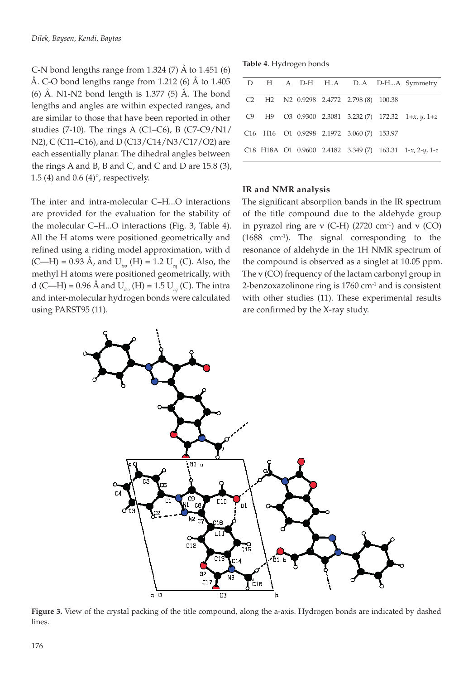C-N bond lengths range from 1.324  $(7)$  Å to 1.451  $(6)$ Å. C-O bond lengths range from 1.212 (6) Å to  $1.405$ (6) Å. N1-N2 bond length is  $1.377$  (5) Å. The bond lengths and angles are within expected ranges, and are similar to those that have been reported in other studies (7-10). The rings A (C1–C6), B (C7-C9/N1/ N2), C (C11–C16), and D (C13/C14/N3/C17/O2) are each essentially planar. The dihedral angles between the rings A and B, B and C, and C and D are  $15.8$  (3), 1.5 (4) and 0.6 (4)°, respectively.

The inter and intra-molecular C–H...O interactions are provided for the evaluation for the stability of the molecular C–H...O interactions (Fig. 3, Table 4). All the H atoms were positioned geometrically and refined using a riding model approximation, with d (C—H) = 0.93 Å, and U*iso* (H) = 1.2 U*eq* (C). Also, the methyl H atoms were positioned geometrically, with d (C—H) = 0.96 Å and U*iso* (H) = 1.5 U*eq* (C). The intra and inter-molecular hydrogen bonds were calculated using PARST95 (11).

**Table 4**. Hydrogen bonds

|  |  |                                                                             | D H A D-H HA DA D-HA Symmetry                                    |
|--|--|-----------------------------------------------------------------------------|------------------------------------------------------------------|
|  |  | C <sub>2</sub> H <sub>2</sub> N <sub>2</sub> 0.9298 2.4772 2.798 (8) 100.38 |                                                                  |
|  |  |                                                                             | C9 H9 O3 0.9300 2.3081 3.232 (7) 172.32 $1+x$ , $y$ , $1+z$      |
|  |  | C16 H16 O1 0.9298 2.1972 3.060 (7) 153.97                                   |                                                                  |
|  |  |                                                                             | C18 H18A O1 0.9600 2.4182 3.349 (7) 163.31 $1-x$ , $2-y$ , $1-z$ |
|  |  |                                                                             |                                                                  |

#### **IR and NMR analysis**

The significant absorption bands in the IR spectrum of the title compound due to the aldehyde group in pyrazol ring are  $v$  (C-H) (2720 cm<sup>-1</sup>) and  $v$  (CO) (1688 cm-1). The signal corresponding to the resonance of aldehyde in the 1H NMR spectrum of the compound is observed as a singlet at 10.05 ppm. The  $v$  (CO) frequency of the lactam carbonyl group in 2-benzoxazolinone ring is 1760 cm-1 and is consistent with other studies (11). These experimental results are confirmed by the X-ray study.



**Figure 3.** View of the crystal packing of the title compound, along the a-axis. Hydrogen bonds are indicated by dashed lines.